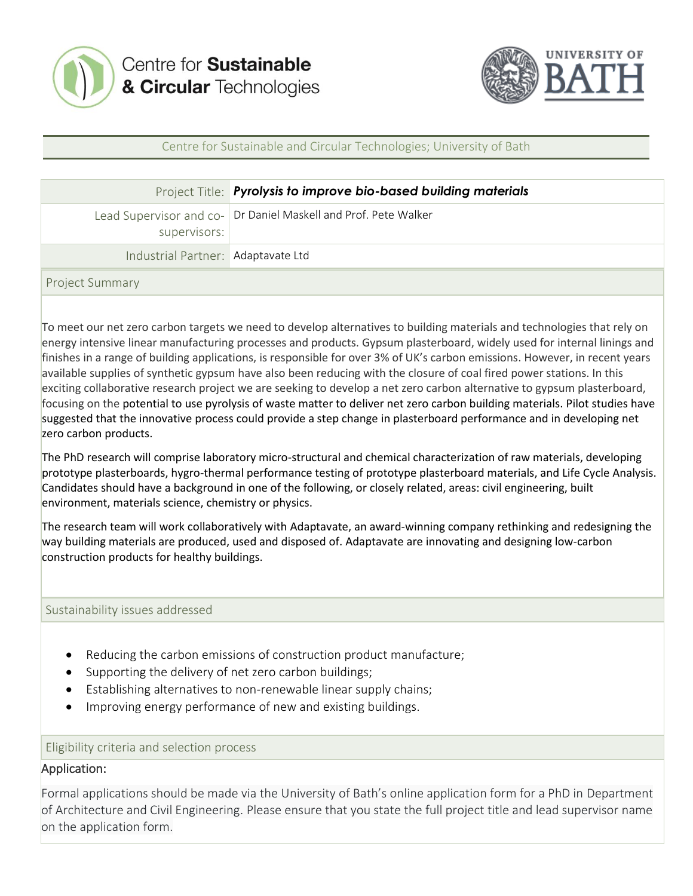



## Centre for Sustainable and Circular Technologies; University of Bath

|                                    | Project Title: Pyrolysis to improve bio-based building materials |
|------------------------------------|------------------------------------------------------------------|
| supervisors:                       | Lead Supervisor and co- Dr Daniel Maskell and Prof. Pete Walker  |
| Industrial Partner: Adaptavate Ltd |                                                                  |
| <b>Project Summary</b>             |                                                                  |

To meet our net zero carbon targets we need to develop alternatives to building materials and technologies that rely on energy intensive linear manufacturing processes and products. Gypsum plasterboard, widely used for internal linings and finishes in a range of building applications, is responsible for over 3% of UK's carbon emissions. However, in recent years available supplies of synthetic gypsum have also been reducing with the closure of coal fired power stations. In this exciting collaborative research project we are seeking to develop a net zero carbon alternative to gypsum plasterboard, focusing on the potential to use pyrolysis of waste matter to deliver net zero carbon building materials. Pilot studies have suggested that the innovative process could provide a step change in plasterboard performance and in developing net zero carbon products.

The PhD research will comprise laboratory micro-structural and chemical characterization of raw materials, developing prototype plasterboards, hygro-thermal performance testing of prototype plasterboard materials, and Life Cycle Analysis. Candidates should have a background in one of the following, or closely related, areas: civil engineering, built environment, materials science, chemistry or physics.

The research team will work collaboratively with Adaptavate, an award-winning company rethinking and redesigning the way building materials are produced, used and disposed of. Adaptavate are innovating and designing low-carbon construction products for healthy buildings.

Sustainability issues addressed

- Reducing the carbon emissions of construction product manufacture;
- Supporting the delivery of net zero carbon buildings;
- Establishing alternatives to non-renewable linear supply chains;
- Improving energy performance of new and existing buildings.

Eligibility criteria and selection process

## Application:

Formal applications should be made via the University of Bath's online application form for a PhD in Department of Architecture and Civil Engineering. Please ensure that you state the full project title and lead supervisor name on the application form.